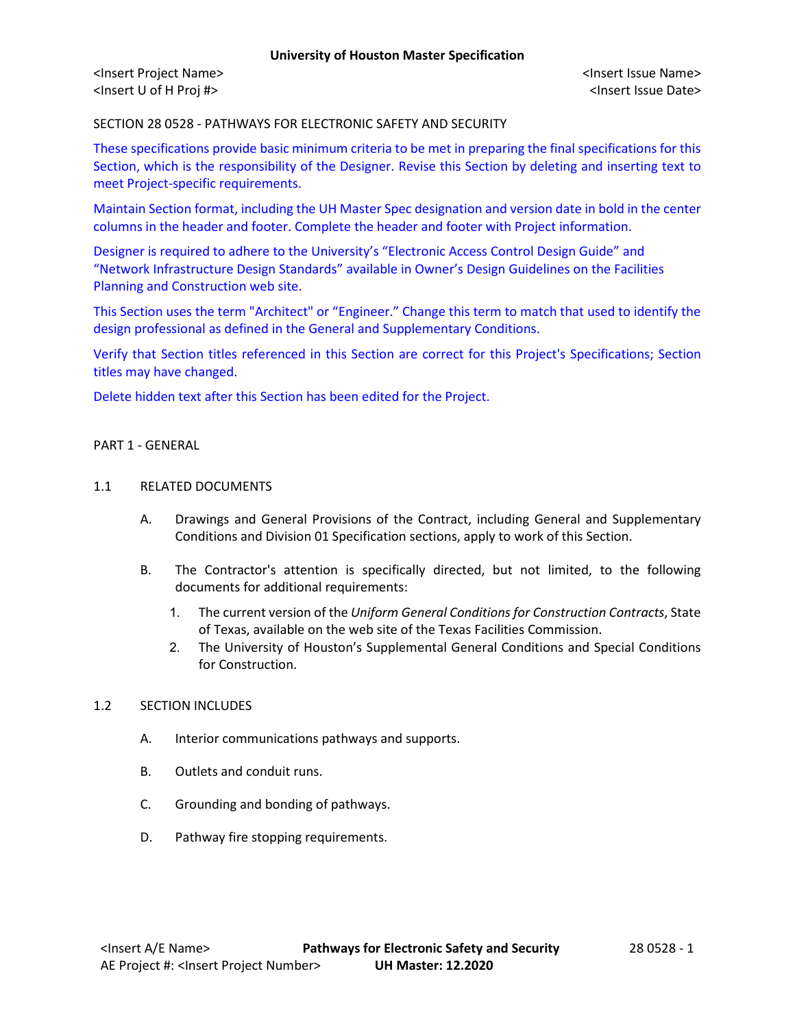<Insert Project Name> <Insert Issue Name> <Insert U of H Proj #> <Insert Issue Date>

SECTION 28 0528 - PATHWAYS FOR ELECTRONIC SAFETY AND SECURITY

These specifications provide basic minimum criteria to be met in preparing the final specifications for this Section, which is the responsibility of the Designer. Revise this Section by deleting and inserting text to meet Project-specific requirements.

Maintain Section format, including the UH Master Spec designation and version date in bold in the center columns in the header and footer. Complete the header and footer with Project information.

Designer is required to adhere to the University's "Electronic Access Control Design Guide" and "Network Infrastructure Design Standards" available in Owner's Design Guidelines on the Facilities Planning and Construction web site.

This Section uses the term "Architect" or "Engineer." Change this term to match that used to identify the design professional as defined in the General and Supplementary Conditions.

Verify that Section titles referenced in this Section are correct for this Project's Specifications; Section titles may have changed.

Delete hidden text after this Section has been edited for the Project.

#### PART 1 - GENERAL

#### 1.1 RELATED DOCUMENTS

- A. Drawings and General Provisions of the Contract, including General and Supplementary Conditions and Division 01 Specification sections, apply to work of this Section.
- B. The Contractor's attention is specifically directed, but not limited, to the following documents for additional requirements:
	- 1. The current version of the *Uniform General Conditions for Construction Contracts*, State of Texas, available on the web site of the Texas Facilities Commission.
	- 2. The University of Houston's Supplemental General Conditions and Special Conditions for Construction.

#### 1.2 SECTION INCLUDES

- A. Interior communications pathways and supports.
- B. Outlets and conduit runs.
- C. Grounding and bonding of pathways.
- D. Pathway fire stopping requirements.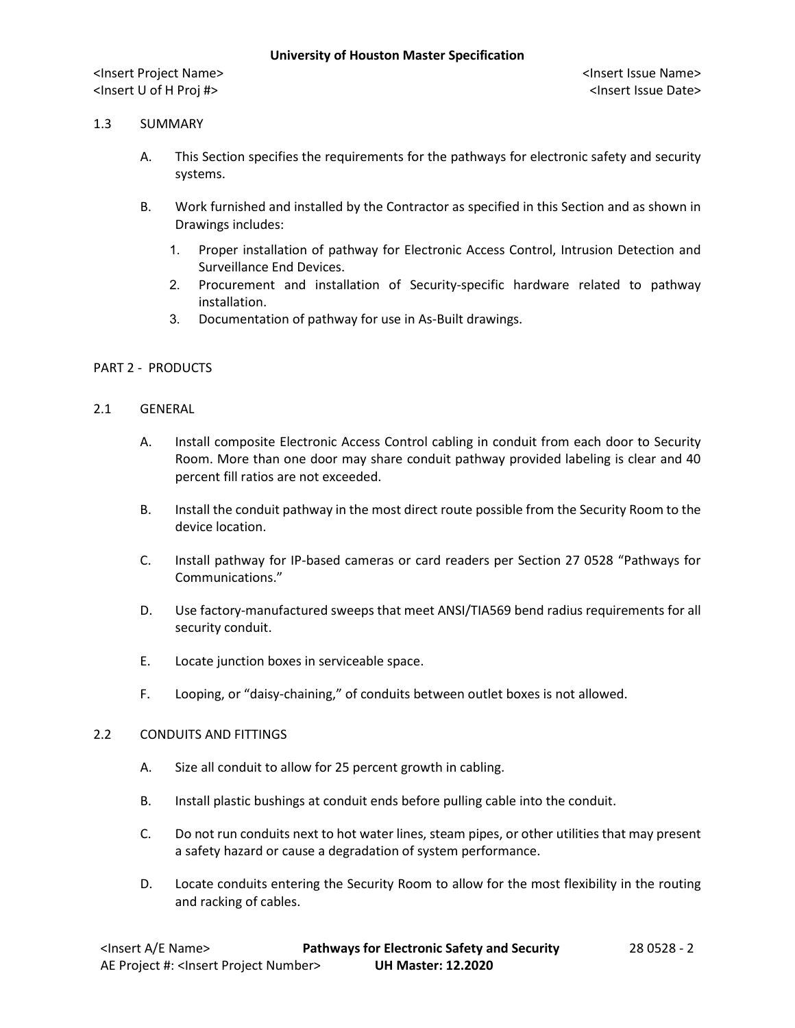## 1.3 SUMMARY

- A. This Section specifies the requirements for the pathways for electronic safety and security systems.
- B. Work furnished and installed by the Contractor as specified in this Section and as shown in Drawings includes:
	- 1. Proper installation of pathway for Electronic Access Control, Intrusion Detection and Surveillance End Devices.
	- 2. Procurement and installation of Security-specific hardware related to pathway installation.
	- 3. Documentation of pathway for use in As-Built drawings.

## PART 2 - PRODUCTS

#### 2.1 GENERAL

- A. Install composite Electronic Access Control cabling in conduit from each door to Security Room. More than one door may share conduit pathway provided labeling is clear and 40 percent fill ratios are not exceeded.
- B. Install the conduit pathway in the most direct route possible from the Security Room to the device location.
- C. Install pathway for IP-based cameras or card readers per Section 27 0528 "Pathways for Communications."
- D. Use factory-manufactured sweeps that meet ANSI/TIA569 bend radius requirements for all security conduit.
- E. Locate junction boxes in serviceable space.
- F. Looping, or "daisy-chaining," of conduits between outlet boxes is not allowed.

#### 2.2 CONDUITS AND FITTINGS

- A. Size all conduit to allow for 25 percent growth in cabling.
- B. Install plastic bushings at conduit ends before pulling cable into the conduit.
- C. Do not run conduits next to hot water lines, steam pipes, or other utilities that may present a safety hazard or cause a degradation of system performance.
- D. Locate conduits entering the Security Room to allow for the most flexibility in the routing and racking of cables.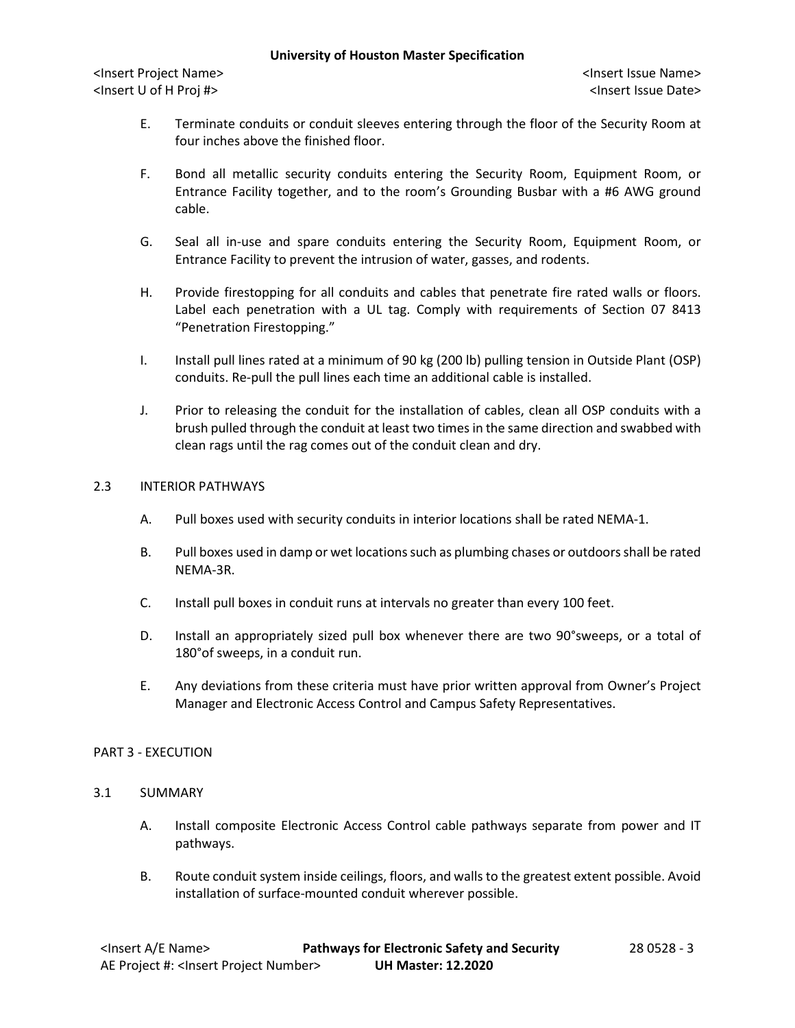<Insert Project Name> <Insert Issue Name> <Insert U of H Proj #> <Insert Issue Date>

- E. Terminate conduits or conduit sleeves entering through the floor of the Security Room at four inches above the finished floor.
- F. Bond all metallic security conduits entering the Security Room, Equipment Room, or Entrance Facility together, and to the room's Grounding Busbar with a #6 AWG ground cable.
- G. Seal all in-use and spare conduits entering the Security Room, Equipment Room, or Entrance Facility to prevent the intrusion of water, gasses, and rodents.
- H. Provide firestopping for all conduits and cables that penetrate fire rated walls or floors. Label each penetration with a UL tag. Comply with requirements of Section 07 8413 "Penetration Firestopping."
- I. Install pull lines rated at a minimum of 90 kg (200 lb) pulling tension in Outside Plant (OSP) conduits. Re-pull the pull lines each time an additional cable is installed.
- J. Prior to releasing the conduit for the installation of cables, clean all OSP conduits with a brush pulled through the conduit at least two times in the same direction and swabbed with clean rags until the rag comes out of the conduit clean and dry.

# 2.3 INTERIOR PATHWAYS

- A. Pull boxes used with security conduits in interior locations shall be rated NEMA-1.
- B. Pull boxes used in damp or wet locations such as plumbing chases or outdoors shall be rated NEMA-3R.
- C. Install pull boxes in conduit runs at intervals no greater than every 100 feet.
- D. Install an appropriately sized pull box whenever there are two 90°sweeps, or a total of 180°of sweeps, in a conduit run.
- E. Any deviations from these criteria must have prior written approval from Owner's Project Manager and Electronic Access Control and Campus Safety Representatives.

#### PART 3 - EXECUTION

## 3.1 SUMMARY

- A. Install composite Electronic Access Control cable pathways separate from power and IT pathways.
- B. Route conduit system inside ceilings, floors, and walls to the greatest extent possible. Avoid installation of surface-mounted conduit wherever possible.